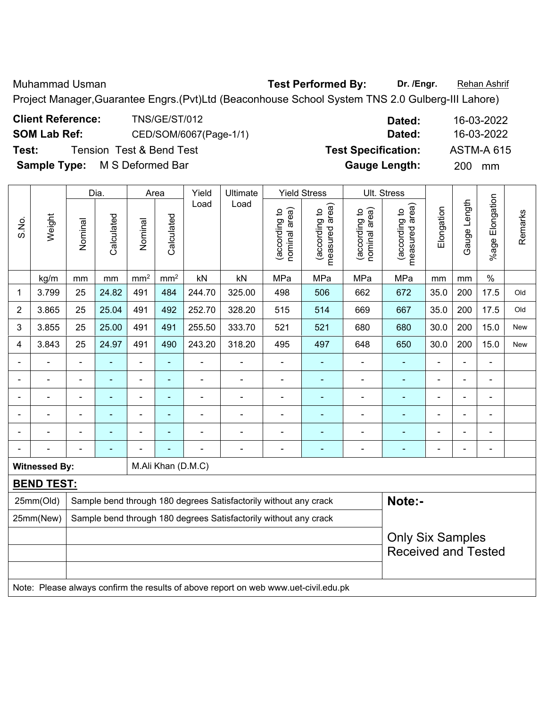Muhammad Usman **Test Performed By: Dr. /Engr.** Rehan Ashrif Project Manager,Guarantee Engrs.(Pvt)Ltd (Beaconhouse School System TNS 2.0 Gulberg-III Lahore)

|                | <b>SOM Lab Ref:</b>                        |                |                                     | CED/SOM/6067(Page-1/1)       |                          |        |          |                                |                                             | Dated:                         |                                 |            | 16-03-2022     |                           |         |
|----------------|--------------------------------------------|----------------|-------------------------------------|------------------------------|--------------------------|--------|----------|--------------------------------|---------------------------------------------|--------------------------------|---------------------------------|------------|----------------|---------------------------|---------|
| Test:          |                                            |                | <b>Tension Test &amp; Bend Test</b> |                              |                          |        |          |                                |                                             | <b>Test Specification:</b>     |                                 |            |                | <b>ASTM-A 615</b>         |         |
|                | <b>Sample Type:</b>                        |                | M S Deformed Bar                    |                              |                          |        |          |                                |                                             |                                | <b>Gauge Length:</b>            |            | 200            | mm                        |         |
|                |                                            |                | Dia.                                |                              | Area                     | Yield  | Ultimate |                                | <b>Yield Stress</b>                         |                                | Ult. Stress                     |            |                |                           |         |
| S.No.          | Weight                                     | Nominal        | Calculated                          | Nominal                      | Calculated               | Load   | Load     | nominal area)<br>(according to | (according to<br>neasured area)<br>measured | nominal area)<br>(according to | measured area)<br>(according to | Elongation | Gauge Length   | Elongation<br>$%$ age $ $ | Remarks |
|                | kg/m                                       | mm             | mm                                  | mm <sup>2</sup>              | mm <sup>2</sup>          | kN     | kN       | MPa                            | MPa                                         | MPa                            | MPa                             | mm         | mm             | $\%$                      |         |
| $\mathbf{1}$   | 3.799                                      | 25             | 24.82                               | 491                          | 484                      | 244.70 | 325.00   | 498                            | 506                                         | 662                            | 672                             | 35.0       | 200            | 17.5                      | Old     |
| $\overline{2}$ | 3.865                                      | 25             | 25.04                               | 491                          | 492                      | 252.70 | 328.20   | 515                            | 514                                         | 669                            | 667                             | 35.0       | 200            | 17.5                      | Old     |
| 3              | 3.855                                      | 25             | 25.00                               | 491                          | 491                      | 255.50 | 333.70   | 521                            | 521                                         | 680                            | 680                             | 30.0       | 200            | 15.0                      | New     |
| 4              | 3.843                                      | 25             | 24.97                               | 491                          | 490                      | 243.20 | 318.20   | 495                            | 497                                         | 648                            | 650                             | 30.0       | 200            | 15.0                      | New     |
|                |                                            | $\blacksquare$ |                                     | $\overline{a}$               |                          |        |          | $\overline{\phantom{a}}$       | $\blacksquare$                              | $\blacksquare$                 | $\overline{\phantom{0}}$        |            |                | ä,                        |         |
| $\blacksquare$ |                                            |                | $\qquad \qquad \blacksquare$        | $\blacksquare$               | $\overline{\phantom{0}}$ | -      |          | $\overline{\phantom{a}}$       | $\blacksquare$                              | $\blacksquare$                 | $\overline{\phantom{0}}$        | ۰          | $\blacksquare$ | $\overline{\phantom{a}}$  |         |
|                |                                            |                | $\blacksquare$                      |                              |                          |        |          |                                |                                             |                                |                                 |            |                | ۰                         |         |
|                |                                            |                | $\blacksquare$                      | $\qquad \qquad \blacksquare$ |                          |        |          |                                | $\blacksquare$                              |                                |                                 |            |                | ÷,                        |         |
|                |                                            |                |                                     | $\blacksquare$               |                          |        |          |                                |                                             |                                |                                 |            |                | -                         |         |
|                |                                            |                |                                     |                              |                          |        |          | $\overline{\phantom{a}}$       | ۰                                           | $\overline{a}$                 | $\overline{\phantom{0}}$        | ۰          | ٠              | $\overline{\phantom{a}}$  |         |
|                | <b>Witnessed By:</b><br>M.Ali Khan (D.M.C) |                |                                     |                              |                          |        |          |                                |                                             |                                |                                 |            |                |                           |         |
|                | <b>BEND TEST:</b>                          |                |                                     |                              |                          |        |          |                                |                                             |                                |                                 |            |                |                           |         |

25mm(Old) Sample bend through 180 degrees Satisfactorily without any crack **Note:-** $25mm(New)$  Sample bend through 180 degrees Satisfactorily without any crack Only Six Samples Received and Tested Note: Please always confirm the results of above report on web www.uet-civil.edu.pk

**Client Reference:** TNS/GE/ST/012 **Dated:** 16-03-2022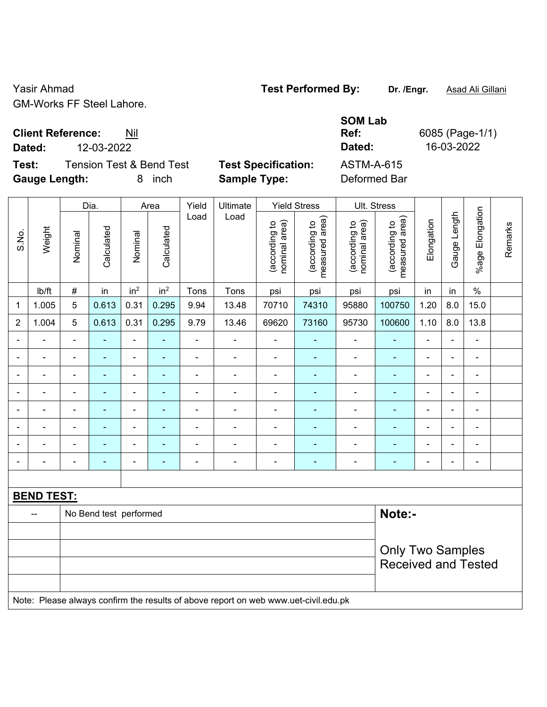Yasir Ahmad **Test Performed By:** Dr. /Engr. **Asad Ali Gillani** Casir Ahmad GM-Works FF Steel Lahore.

 $\top$ 

 $\top$ 

**Client Reference:** Nil

 $\overline{\phantom{a}}$ 

 $\Gamma$ 

**Test:** Tension Test & Bend Test **Test Specification:** ASTM-A-615 **Gauge Length:** 8 inch **Sample Type:** Deformed Bar

 $\top$ 

 $\overline{\phantom{a}}$ 

 $\overline{1}$ 

 $\overline{\phantom{a}}$ 

**SOM Lab Ref:** 6085 (Page-1/1) **Dated:** 12-03-2022 **Dated:** 16-03-2022

 $\top$ 

|                |                   |                              | Dia.                     |                              | Area            | Yield          | Ult. Stress                                                                         |                                |                                 |                                |                                             |                |                |                    |         |
|----------------|-------------------|------------------------------|--------------------------|------------------------------|-----------------|----------------|-------------------------------------------------------------------------------------|--------------------------------|---------------------------------|--------------------------------|---------------------------------------------|----------------|----------------|--------------------|---------|
| S.No.          | Weight            | Nominal                      | Calculated               | Nominal                      | Calculated      | Load           | Load                                                                                | nominal area)<br>(according to | measured area)<br>(according to | (according to<br>nominal area) | (according to<br>measured area)<br>measured | Elongation     | Gauge Length   | Elongation<br>%age | Remarks |
|                | Ib/ft             | $\#$                         | in                       | in <sup>2</sup>              | in <sup>2</sup> | Tons           | Tons                                                                                | psi                            | psi                             | psi                            | psi                                         | in             | in             | $\%$               |         |
| 1              | 1.005             | 5                            | 0.613                    | 0.31                         | 0.295           | 9.94           | 13.48                                                                               | 70710                          | 74310                           | 95880                          | 100750                                      | 1.20           | 8.0            | 15.0               |         |
| $\overline{2}$ | 1.004             | 5                            | 0.613                    | 0.31                         | 0.295           | 9.79           | 13.46                                                                               | 69620                          | 73160                           | 95730                          | 100600                                      | 1.10           | 8.0            | 13.8               |         |
|                |                   | $\blacksquare$               |                          | ÷,                           |                 | $\blacksquare$ | ÷                                                                                   | $\blacksquare$                 |                                 |                                |                                             | ÷,             |                | $\blacksquare$     |         |
|                |                   | $\blacksquare$               | ٠                        | $\blacksquare$               | $\blacksquare$  | $\blacksquare$ | $\blacksquare$                                                                      | ä,                             | ٠                               | $\blacksquare$                 |                                             | $\blacksquare$ |                | $\blacksquare$     |         |
|                |                   | $\qquad \qquad \blacksquare$ |                          | $\overline{\phantom{0}}$     |                 | ۰              | $\overline{\phantom{a}}$                                                            | $\overline{a}$                 |                                 |                                |                                             | $\overline{a}$ |                | $\blacksquare$     |         |
|                |                   | $\blacksquare$               | ۰                        | $\overline{\phantom{a}}$     |                 | $\overline{a}$ | $\overline{\phantom{a}}$                                                            | $\blacksquare$                 | ۰                               | $\blacksquare$                 |                                             | ۰              | $\blacksquare$ | $\blacksquare$     |         |
|                |                   | $\blacksquare$               | $\blacksquare$           | $\qquad \qquad \blacksquare$ | $\blacksquare$  | ÷              | $\overline{\phantom{a}}$                                                            | $\blacksquare$                 | ٠                               | $\blacksquare$                 | $\overline{\phantom{0}}$                    | ۰              | $\blacksquare$ | $\blacksquare$     |         |
|                |                   | $\blacksquare$               | $\blacksquare$           | $\qquad \qquad \blacksquare$ | ٠               | ÷              | $\overline{\phantom{a}}$                                                            | $\blacksquare$                 | ٠                               | $\blacksquare$                 |                                             | ÷,             | $\overline{a}$ | $\blacksquare$     |         |
|                |                   |                              |                          | $\blacksquare$               |                 |                | $\blacksquare$                                                                      |                                | $\blacksquare$                  |                                |                                             |                |                |                    |         |
|                |                   | $\qquad \qquad \blacksquare$ | $\overline{\phantom{0}}$ | $\blacksquare$               | $\overline{a}$  | $\overline{a}$ | $\overline{\phantom{a}}$                                                            | $\blacksquare$                 | ۰                               | $\overline{\phantom{0}}$       | $\overline{\phantom{0}}$                    | ۰              | $\blacksquare$ | $\blacksquare$     |         |
|                |                   |                              |                          |                              |                 |                |                                                                                     |                                |                                 |                                |                                             |                |                |                    |         |
|                | <b>BEND TEST:</b> |                              |                          |                              |                 |                |                                                                                     |                                |                                 |                                |                                             |                |                |                    |         |
|                | $-$               |                              | No Bend test performed   |                              |                 |                |                                                                                     |                                |                                 |                                | Note:-                                      |                |                |                    |         |
|                |                   |                              |                          |                              |                 |                |                                                                                     |                                |                                 |                                |                                             |                |                |                    |         |
|                |                   |                              |                          |                              |                 |                |                                                                                     |                                |                                 |                                | <b>Only Two Samples</b>                     |                |                |                    |         |
|                |                   |                              |                          |                              |                 |                |                                                                                     |                                |                                 |                                | <b>Received and Tested</b>                  |                |                |                    |         |
|                |                   |                              |                          |                              |                 |                |                                                                                     |                                |                                 |                                |                                             |                |                |                    |         |
|                |                   |                              |                          |                              |                 |                | Note: Please always confirm the results of above report on web www.uet-civil.edu.pk |                                |                                 |                                |                                             |                |                |                    |         |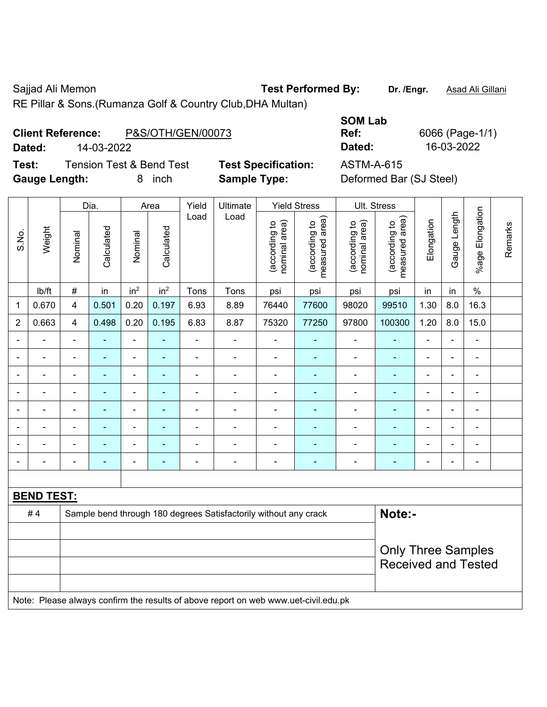Sajjad Ali Memon **Test Performed By:** Dr. /Engr. **Asad Ali Gillani** Cali Gillani

┑

RE Pillar & Sons.(Rumanza Golf & Country Club,DHA Multan)

## **Client Reference:** P&S/OTH/GEN/00073

**Dated:** 14-03-2022 **Dated:** 16-03-2022

**Test:** Tension Test & Bend Test **Test Specification:** ASTM-A-615 **Gauge Length:** 8 inch **Sample Type:** Deformed Bar (SJ Steel)

**SOM Lab Ref:** 6066 (Page-1/1)

|                |                   |                | Dia.           |                              | Area                     | Yield          | Ultimate                                                                            |                                | <b>Yield Stress</b>                         |                                | Ult. Stress                     |                |                          |                          |         |
|----------------|-------------------|----------------|----------------|------------------------------|--------------------------|----------------|-------------------------------------------------------------------------------------|--------------------------------|---------------------------------------------|--------------------------------|---------------------------------|----------------|--------------------------|--------------------------|---------|
| S.No.          | Weight            | Nominal        | Calculated     | Nominal                      | Calculated               | Load           | Load                                                                                | (according to<br>nominal area) | (according to<br>neasured area)<br>measured | (according to<br>nominal area) | (according to<br>measured area) | Elongation     | Gauge Length             | %age Elongation          | Remarks |
|                | lb/ft             | $\#$           | in             | in <sup>2</sup>              | in <sup>2</sup>          | Tons           | Tons                                                                                | psi                            | psi                                         | psi                            | psi                             | in             | in                       | $\%$                     |         |
| $\mathbf 1$    | 0.670             | 4              | 0.501          | 0.20                         | 0.197                    | 6.93           | 8.89                                                                                | 76440                          | 77600                                       | 98020                          | 99510                           | 1.30           | 8.0                      | 16.3                     |         |
| $\overline{2}$ | 0.663             | $\overline{4}$ | 0.498          | 0.20                         | 0.195                    | 6.83           | 8.87                                                                                | 75320                          | 77250                                       | 97800                          | 100300                          | 1.20           | 8.0                      | 15.0                     |         |
|                |                   | $\blacksquare$ |                | $\blacksquare$               | ÷,                       | ä,             |                                                                                     |                                |                                             | $\blacksquare$                 | $\blacksquare$                  | $\blacksquare$ |                          | ä,                       |         |
|                |                   | $\blacksquare$ |                | $\blacksquare$               | $\blacksquare$           | $\overline{a}$ | ä,                                                                                  | $\blacksquare$                 | $\blacksquare$                              | $\blacksquare$                 | ä,                              | $\blacksquare$ |                          | $\blacksquare$           |         |
|                |                   | $\blacksquare$ |                | ÷                            |                          |                |                                                                                     |                                |                                             |                                |                                 |                |                          | $\blacksquare$           |         |
|                |                   | $\blacksquare$ | $\blacksquare$ | $\blacksquare$               | ۳                        | $\blacksquare$ | $\blacksquare$                                                                      | $\qquad \qquad \blacksquare$   |                                             | $\blacksquare$                 | $\blacksquare$                  | ۰              | $\overline{\phantom{a}}$ | $\blacksquare$           |         |
|                |                   | $\blacksquare$ | ٠              | $\qquad \qquad \blacksquare$ | $\blacksquare$           | $\blacksquare$ | $\blacksquare$                                                                      | $\overline{a}$                 | $\overline{a}$                              | $\blacksquare$                 | ۰                               | $\blacksquare$ | $\blacksquare$           | $\frac{1}{2}$            |         |
|                |                   | $\blacksquare$ | ٠              | $\blacksquare$               | $\overline{\phantom{0}}$ | ä,             | $\blacksquare$                                                                      | $\blacksquare$                 |                                             | $\blacksquare$                 | $\blacksquare$                  |                |                          | ä,                       |         |
|                |                   |                |                | $\blacksquare$               |                          |                |                                                                                     |                                |                                             |                                |                                 |                |                          |                          |         |
|                |                   | $\blacksquare$ | ۰              | ۰                            | ۳                        | $\blacksquare$ | ÷                                                                                   | $\qquad \qquad \blacksquare$   | ٠                                           | $\blacksquare$                 | ۳                               | ۰              | $\overline{\phantom{0}}$ | $\overline{\phantom{a}}$ |         |
|                |                   |                |                |                              |                          |                |                                                                                     |                                |                                             |                                |                                 |                |                          |                          |         |
|                | <b>BEND TEST:</b> |                |                |                              |                          |                |                                                                                     |                                |                                             |                                |                                 |                |                          |                          |         |
|                | #4                |                |                |                              |                          |                | Sample bend through 180 degrees Satisfactorily without any crack                    |                                |                                             |                                | Note:-                          |                |                          |                          |         |
|                |                   |                |                |                              |                          |                |                                                                                     |                                |                                             |                                |                                 |                |                          |                          |         |
|                |                   |                |                |                              |                          |                |                                                                                     |                                |                                             |                                | <b>Only Three Samples</b>       |                |                          |                          |         |
|                |                   |                |                |                              |                          |                |                                                                                     |                                |                                             |                                | <b>Received and Tested</b>      |                |                          |                          |         |
|                |                   |                |                |                              |                          |                |                                                                                     |                                |                                             |                                |                                 |                |                          |                          |         |
|                |                   |                |                |                              |                          |                | Note: Please always confirm the results of above report on web www.uet-civil.edu.pk |                                |                                             |                                |                                 |                |                          |                          |         |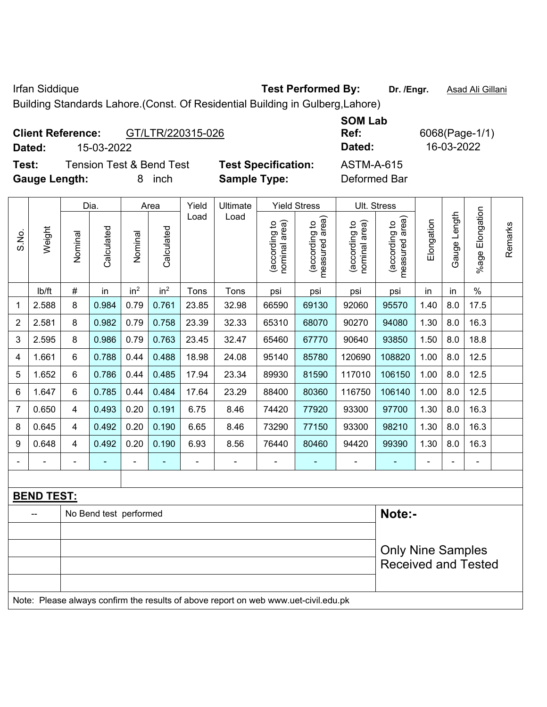Irfan Siddique **Test Performed By:** Dr. /Engr. **Asad Ali Gillani** 

Building Standards Lahore.(Const. Of Residential Building in Gulberg,Lahore)

|        | <b>Client Reference:</b> | GT/LTR/220315-026                   |                            | <b>SOM Lab</b><br>Ref: |
|--------|--------------------------|-------------------------------------|----------------------------|------------------------|
| Dated: | 15-03-2022               |                                     |                            | Dated:                 |
| Test:  |                          | <b>Tension Test &amp; Bend Test</b> | <b>Test Specification:</b> | <b>ASTM-A-615</b>      |

**Ref:** 6068(Page-1/1) **Dated:** 15-03-2022 **Dated:** 16-03-2022

**Gauge Length:** 8 inch **Sample Type:** Deformed Bar

|                |                   |                          | Dia.                   |                 | Area            | Yield | Ultimate                                                                            |                                | <b>Yield Stress</b>             |                                | Ult. Stress                     |            |              |                       |         |
|----------------|-------------------|--------------------------|------------------------|-----------------|-----------------|-------|-------------------------------------------------------------------------------------|--------------------------------|---------------------------------|--------------------------------|---------------------------------|------------|--------------|-----------------------|---------|
| S.No.          | Weight            | Nominal                  | Calculated             | Nominal         | Calculated      | Load  | Load                                                                                | nominal area)<br>(according to | (according to<br>measured area) | nominal area)<br>(according to | measured area)<br>(according to | Elongation | Gauge Length | Elongation<br>$%$ age | Remarks |
|                | lb/ft             | $\#$                     | in                     | in <sup>2</sup> | in <sup>2</sup> | Tons  | Tons                                                                                | psi                            | psi                             | psi                            | psi                             | in         | in           | $\%$                  |         |
| 1              | 2.588             | 8                        | 0.984                  | 0.79            | 0.761           | 23.85 | 32.98                                                                               | 66590                          | 69130                           | 92060                          | 95570                           | 1.40       | 8.0          | 17.5                  |         |
| $\overline{2}$ | 2.581             | 8                        | 0.982                  | 0.79            | 0.758           | 23.39 | 32.33                                                                               | 65310                          | 68070                           | 90270                          | 94080                           | 1.30       | 8.0          | 16.3                  |         |
| 3              | 2.595             | 8                        | 0.986                  | 0.79            | 0.763           | 23.45 | 32.47                                                                               | 65460                          | 67770                           | 90640                          | 93850                           | 1.50       | 8.0          | 18.8                  |         |
| 4              | 1.661             | 6                        | 0.788                  | 0.44            | 0.488           | 18.98 | 24.08                                                                               | 95140                          | 85780                           | 120690                         | 108820                          | 1.00       | 8.0          | 12.5                  |         |
| 5              | 1.652             | 6                        | 0.786                  | 0.44            | 0.485           | 17.94 | 23.34                                                                               | 89930                          | 81590                           | 117010                         | 106150                          | 1.00       | 8.0          | 12.5                  |         |
| 6              | 1.647             | 6                        | 0.785                  | 0.44            | 0.484           | 17.64 | 23.29                                                                               | 88400                          | 80360                           | 116750                         | 106140                          | 1.00       | 8.0          | 12.5                  |         |
| $\overline{7}$ | 0.650             | $\overline{4}$           | 0.493                  | 0.20            | 0.191           | 6.75  | 8.46                                                                                | 74420                          | 77920                           | 93300                          | 97700                           | 1.30       | 8.0          | 16.3                  |         |
| 8              | 0.645             | 4                        | 0.492                  | 0.20            | 0.190           | 6.65  | 8.46                                                                                | 73290                          | 77150                           | 93300                          | 98210                           | 1.30       | 8.0          | 16.3                  |         |
| 9              | 0.648             | $\overline{\mathbf{4}}$  | 0.492                  | 0.20            | 0.190           | 6.93  | 8.56                                                                                | 76440                          | 80460                           | 94420                          | 99390                           | 1.30       | 8.0          | 16.3                  |         |
|                |                   |                          |                        |                 |                 |       | ä,                                                                                  | ä,                             |                                 |                                |                                 |            |              | ÷,                    |         |
|                |                   |                          |                        |                 |                 |       |                                                                                     |                                |                                 |                                |                                 |            |              |                       |         |
|                | <b>BEND TEST:</b> |                          |                        |                 |                 |       |                                                                                     |                                |                                 |                                |                                 |            |              |                       |         |
|                |                   |                          | No Bend test performed |                 |                 |       |                                                                                     |                                |                                 |                                | Note:-                          |            |              |                       |         |
|                |                   |                          |                        |                 |                 |       |                                                                                     |                                |                                 |                                |                                 |            |              |                       |         |
|                |                   | <b>Only Nine Samples</b> |                        |                 |                 |       |                                                                                     |                                |                                 |                                |                                 |            |              |                       |         |
|                |                   |                          |                        |                 |                 |       |                                                                                     |                                |                                 |                                | <b>Received and Tested</b>      |            |              |                       |         |
|                |                   |                          |                        |                 |                 |       |                                                                                     |                                |                                 |                                |                                 |            |              |                       |         |
|                |                   |                          |                        |                 |                 |       | Note: Please always confirm the results of above report on web www.uet-civil.edu.pk |                                |                                 |                                |                                 |            |              |                       |         |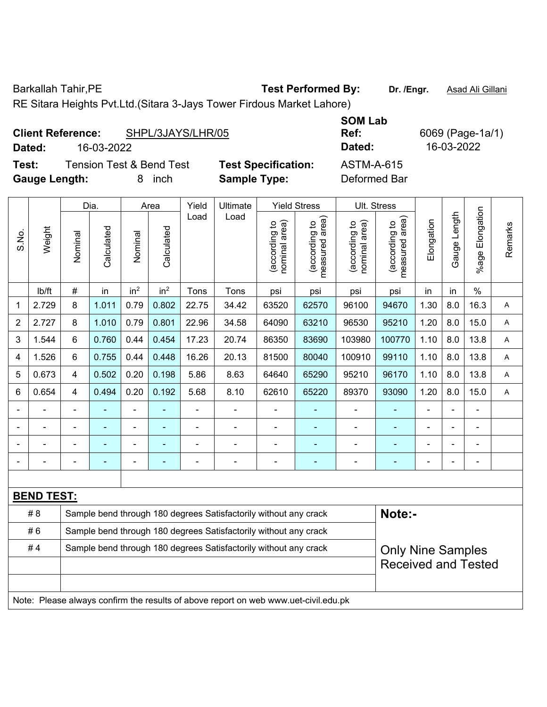Barkallah Tahir, PE **Test Performed By:** Dr. /Engr. **Asad Ali Gillani** 

RE Sitara Heights Pvt.Ltd.(Sitara 3-Jays Tower Firdous Market Lahore)

|                      | <b>Client Reference:</b> | SHPL/3JAYS/LHR/05                   |                            | <b>SUMLAD</b><br>Ref: |
|----------------------|--------------------------|-------------------------------------|----------------------------|-----------------------|
| Dated:               | 16-03-2022               |                                     |                            | Dated:                |
| Test:                |                          | <b>Tension Test &amp; Bend Test</b> | <b>Test Specification:</b> | <b>ASTM-A-615</b>     |
| <b>Gauge Length:</b> |                          | inch                                | <b>Sample Type:</b>        | Deformed Bar          |

**SOM Lab Ref:** 6069 (Page-1a/1) **Dated:** 16-03-2022 **Dated:** 16-03-2022 **Test:** Tension Test & Bend Test **Test Specification:** ASTM-A-615

|                |                   |                                                                                     | Dia.                                                             |                 | Area            | Yield | Ult. Stress                                                      |                                |                                 |                                |                                 |                |              |                       |         |
|----------------|-------------------|-------------------------------------------------------------------------------------|------------------------------------------------------------------|-----------------|-----------------|-------|------------------------------------------------------------------|--------------------------------|---------------------------------|--------------------------------|---------------------------------|----------------|--------------|-----------------------|---------|
| S.No.          | Weight            | Nominal                                                                             | Calculated                                                       | Nominal         | Calculated      | Load  | Load                                                             | (according to<br>nominal area) | (according to<br>measured area) | (according to<br>nominal area) | (according to<br>measured area) | Elongation     | Gauge Length | Elongation<br>$%$ age | Remarks |
|                | lb/ft             | $\#$                                                                                | in                                                               | in <sup>2</sup> | in <sup>2</sup> | Tons  | Tons                                                             | psi                            | psi                             | psi                            | psi                             | in             | in           | $\frac{0}{0}$         |         |
| 1              | 2.729             | 8                                                                                   | 1.011                                                            | 0.79            | 0.802           | 22.75 | 34.42                                                            | 63520                          | 62570                           | 96100                          | 94670                           | 1.30           | 8.0          | 16.3                  | A       |
| $\overline{2}$ | 2.727             | 8                                                                                   | 1.010                                                            | 0.79            | 0.801           | 22.96 | 34.58                                                            | 64090                          | 63210                           | 96530                          | 95210                           | 1.20           | 8.0          | 15.0                  | A       |
| 3              | 1.544             | 6                                                                                   | 0.760                                                            | 0.44            | 0.454           | 17.23 | 20.74                                                            | 86350                          | 83690                           | 103980                         | 100770                          | 1.10           | 8.0          | 13.8                  | A       |
| $\overline{4}$ | 1.526             | 6                                                                                   | 0.755                                                            | 0.44            | 0.448           | 16.26 | 20.13                                                            | 81500                          | 80040                           | 100910                         | 99110                           | 1.10           | 8.0          | 13.8                  | Α       |
| 5              | 0.673             | 4                                                                                   | 0.502                                                            | 0.20            | 0.198           | 5.86  | 8.63                                                             | 64640                          | 65290                           | 95210                          | 96170                           | 1.10           | 8.0          | 13.8                  | Α       |
| 6              | 0.654             | 4                                                                                   | 0.494                                                            | 0.20            | 0.192           | 5.68  | 8.10                                                             | 62610                          | 65220                           | 89370                          | 93090                           | 1.20           | 8.0          | 15.0                  | Α       |
| $\blacksquare$ |                   | $\blacksquare$                                                                      | ä,                                                               |                 |                 |       |                                                                  | L,                             |                                 | ä,                             | $\blacksquare$                  | $\blacksquare$ |              | ÷,                    |         |
| $\blacksquare$ |                   | $\blacksquare$                                                                      | ۰                                                                |                 |                 |       |                                                                  | Ē,                             |                                 |                                |                                 |                |              | $\blacksquare$        |         |
| $\blacksquare$ |                   | $\sim$                                                                              |                                                                  |                 |                 |       |                                                                  |                                |                                 | $\blacksquare$                 |                                 |                |              |                       |         |
| $\blacksquare$ |                   |                                                                                     |                                                                  |                 |                 |       |                                                                  |                                |                                 |                                |                                 |                |              |                       |         |
|                |                   |                                                                                     |                                                                  |                 |                 |       |                                                                  |                                |                                 |                                |                                 |                |              |                       |         |
|                | <b>BEND TEST:</b> |                                                                                     |                                                                  |                 |                 |       |                                                                  |                                |                                 |                                |                                 |                |              |                       |         |
|                | # 8               |                                                                                     |                                                                  |                 |                 |       | Sample bend through 180 degrees Satisfactorily without any crack |                                |                                 |                                | Note:-                          |                |              |                       |         |
|                | #6                |                                                                                     | Sample bend through 180 degrees Satisfactorily without any crack |                 |                 |       |                                                                  |                                |                                 |                                |                                 |                |              |                       |         |
|                | #4                |                                                                                     |                                                                  |                 |                 |       | Sample bend through 180 degrees Satisfactorily without any crack |                                |                                 |                                | <b>Only Nine Samples</b>        |                |              |                       |         |
|                |                   |                                                                                     |                                                                  |                 |                 |       |                                                                  |                                |                                 |                                | <b>Received and Tested</b>      |                |              |                       |         |
|                |                   |                                                                                     |                                                                  |                 |                 |       |                                                                  |                                |                                 |                                |                                 |                |              |                       |         |
|                |                   | Note: Please always confirm the results of above report on web www.uet-civil.edu.pk |                                                                  |                 |                 |       |                                                                  |                                |                                 |                                |                                 |                |              |                       |         |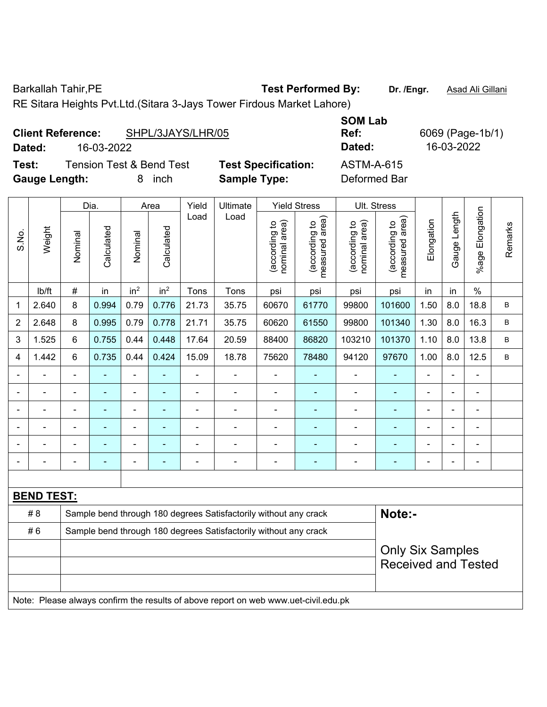Barkallah Tahir, PE **Test Performed By:** Dr. /Engr. **Asad Ali Gillani** 

RE Sitara Heights Pvt.Ltd.(Sitara 3-Jays Tower Firdous Market Lahore)

|                      | SHPL/3JAYS/LHR/05<br><b>Client Reference:</b> |                            | <b>SUM LAD</b><br>Ref: |
|----------------------|-----------------------------------------------|----------------------------|------------------------|
| Dated:               | 16-03-2022                                    |                            | Dated:                 |
| Test:                | <b>Tension Test &amp; Bend Test</b>           | <b>Test Specification:</b> | ASTM-A-615             |
| <b>Gauge Length:</b> | inch                                          | <b>Sample Type:</b>        | Deformed Bar           |

|       |                   | Yield<br>Ultimate<br>Dia.<br><b>Yield Stress</b><br>Area<br>Load<br>Load            |            |                              |                 |                                                                  |                                                                  |                                |                                 |                                | Ult. Stress                                 |                |                |                 |              |
|-------|-------------------|-------------------------------------------------------------------------------------|------------|------------------------------|-----------------|------------------------------------------------------------------|------------------------------------------------------------------|--------------------------------|---------------------------------|--------------------------------|---------------------------------------------|----------------|----------------|-----------------|--------------|
| S.No. | Weight            | Nominal                                                                             | Calculated | Nominal                      | Calculated      |                                                                  |                                                                  | nominal area)<br>(according to | (according to<br>measured area) | nominal area)<br>(according to | (according to<br>neasured area)<br>measured | Elongation     | Gauge Length   | %age Elongation | Remarks      |
|       | Ib/ft             | $\#$                                                                                | in         | in <sup>2</sup>              | in <sup>2</sup> | Tons                                                             | Tons                                                             | psi                            | psi                             | psi                            | psi                                         | in             | in             | $\%$            |              |
| 1     | 2.640             | 8                                                                                   | 0.994      | 0.79                         | 0.776           | 21.73                                                            | 35.75                                                            | 60670                          | 61770                           | 99800                          | 101600                                      | 1.50           | 8.0            | 18.8            | B            |
| 2     | 2.648             | 8                                                                                   | 0.995      | 0.79                         | 0.778           | 21.71                                                            | 35.75                                                            | 60620                          | 61550                           | 99800                          | 101340                                      | 1.30           | 8.0            | 16.3            | $\, {\sf B}$ |
| 3     | 1.525             | 6                                                                                   | 0.755      | 0.44                         | 0.448           | 17.64                                                            | 20.59                                                            | 88400                          | 86820                           | 103210                         | 101370                                      | 1.10           | 8.0            | 13.8            | $\mathsf{B}$ |
| 4     | 1.442             | 6                                                                                   | 0.735      | 0.44                         | 0.424           | 15.09                                                            | 18.78                                                            | 75620                          | 78480                           | 94120                          | 97670                                       | 1.00           | 8.0            | 12.5            | $\, {\bf B}$ |
|       |                   |                                                                                     |            | L.                           |                 |                                                                  |                                                                  |                                |                                 | $\blacksquare$                 | $\blacksquare$                              |                |                |                 |              |
|       |                   |                                                                                     |            | $\qquad \qquad \blacksquare$ |                 |                                                                  | $\blacksquare$                                                   |                                |                                 | $\blacksquare$                 | $\blacksquare$                              |                |                | $\blacksquare$  |              |
|       |                   |                                                                                     |            | ÷                            |                 |                                                                  |                                                                  | -                              |                                 | ä,                             | $\blacksquare$                              |                |                | ÷               |              |
|       |                   |                                                                                     | ۰          | ۰                            |                 | $\blacksquare$                                                   | $\blacksquare$                                                   | $\blacksquare$                 |                                 | $\blacksquare$                 | $\blacksquare$                              | $\blacksquare$ | $\blacksquare$ | $\blacksquare$  |              |
|       |                   |                                                                                     | ۰          | ÷,                           |                 |                                                                  | $\blacksquare$                                                   | $\blacksquare$                 |                                 | $\blacksquare$                 | $\blacksquare$                              | Ē,             |                | ÷               |              |
|       | ÷                 |                                                                                     | ÷,         | $\qquad \qquad \blacksquare$ |                 | $\blacksquare$                                                   | $\blacksquare$                                                   | $\blacksquare$                 | ۰                               | $\overline{\phantom{a}}$       | $\blacksquare$                              | $\blacksquare$ |                | ä,              |              |
|       |                   |                                                                                     |            |                              |                 |                                                                  |                                                                  |                                |                                 |                                |                                             |                |                |                 |              |
|       | <b>BEND TEST:</b> |                                                                                     |            |                              |                 |                                                                  |                                                                  |                                |                                 |                                |                                             |                |                |                 |              |
|       | # 8               |                                                                                     |            |                              |                 |                                                                  | Sample bend through 180 degrees Satisfactorily without any crack |                                |                                 |                                | Note:-                                      |                |                |                 |              |
|       | #6                |                                                                                     |            |                              |                 | Sample bend through 180 degrees Satisfactorily without any crack |                                                                  |                                |                                 |                                |                                             |                |                |                 |              |
|       |                   |                                                                                     |            |                              |                 |                                                                  |                                                                  | <b>Only Six Samples</b>        |                                 |                                |                                             |                |                |                 |              |
|       |                   |                                                                                     |            |                              |                 |                                                                  |                                                                  |                                |                                 |                                | <b>Received and Tested</b>                  |                |                |                 |              |
|       |                   |                                                                                     |            |                              |                 |                                                                  |                                                                  |                                |                                 |                                |                                             |                |                |                 |              |
|       |                   | Note: Please always confirm the results of above report on web www.uet-civil.edu.pk |            |                              |                 |                                                                  |                                                                  |                                |                                 |                                |                                             |                |                |                 |              |

**SOM Lab Ref:** 6069 (Page-1b/1) **Dated:** 16-03-2022 **Dated:** 16-03-2022